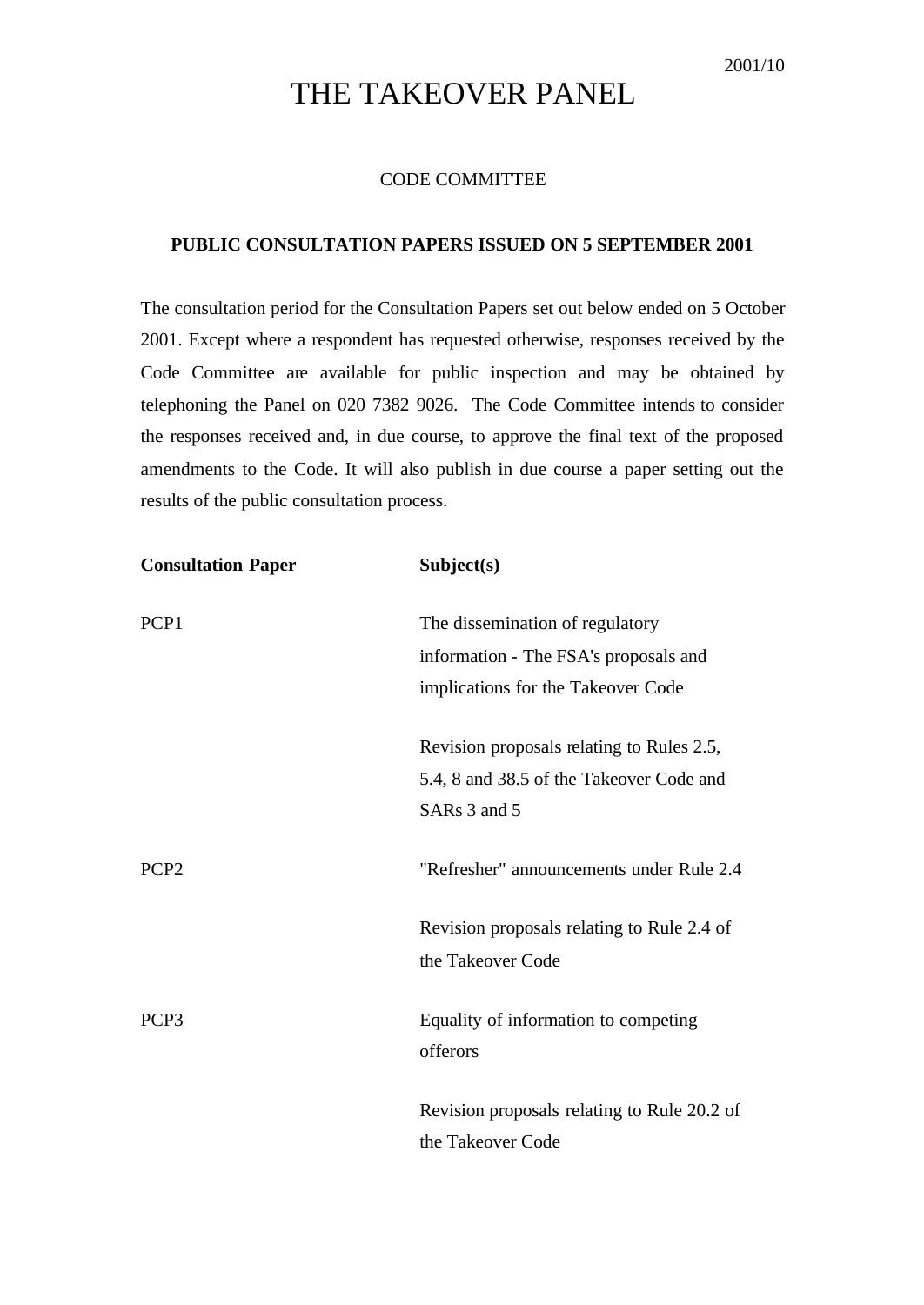## THE TAKEOVER PANEL

## CODE COMMITTEE

## **PUBLIC CONSULTATION PAPERS ISSUED ON 5 SEPTEMBER 2001**

The consultation period for the Consultation Papers set out below ended on 5 October 2001. Except where a respondent has requested otherwise, responses received by the Code Committee are available for public inspection and may be obtained by telephoning the Panel on 020 7382 9026. The Code Committee intends to consider the responses received and, in due course, to approve the final text of the proposed amendments to the Code. It will also publish in due course a paper setting out the results of the public consultation process.

| <b>Consultation Paper</b> | Subject(s)                                  |
|---------------------------|---------------------------------------------|
| PCP1                      | The dissemination of regulatory             |
|                           | information - The FSA's proposals and       |
|                           | implications for the Takeover Code          |
|                           | Revision proposals relating to Rules 2.5,   |
|                           | 5.4, 8 and 38.5 of the Takeover Code and    |
|                           | SARs 3 and 5                                |
| PCP <sub>2</sub>          | "Refresher" announcements under Rule 2.4    |
|                           | Revision proposals relating to Rule 2.4 of  |
|                           | the Takeover Code                           |
| PCP <sub>3</sub>          | Equality of information to competing        |
|                           | offerors                                    |
|                           | Revision proposals relating to Rule 20.2 of |
|                           | the Takeover Code                           |
|                           |                                             |